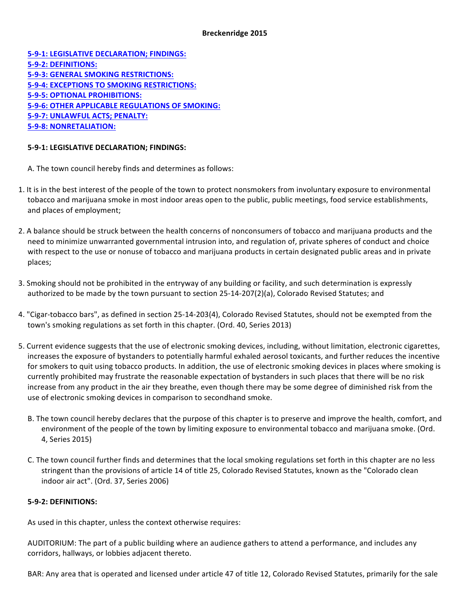#### **Breckenridge 2015**

**5-9-1: LEGISLATIVE DECLARATION; FINDINGS: 5-9-2: DEFINITIONS: 5-9-3: GENERAL SMOKING RESTRICTIONS: 5-9-4: EXCEPTIONS TO SMOKING RESTRICTIONS: 5-9-5: OPTIONAL PROHIBITIONS: 5-9-6: OTHER APPLICABLE REGULATIONS OF SMOKING: 5-9-7: UNLAWFUL ACTS; PENALTY: 5-9-8: NONRETALIATION:**

### **5-9-1: LEGISLATIVE DECLARATION; FINDINGS:**

- A. The town council hereby finds and determines as follows:
- 1. It is in the best interest of the people of the town to protect nonsmokers from involuntary exposure to environmental tobacco and marijuana smoke in most indoor areas open to the public, public meetings, food service establishments, and places of employment;
- 2. A balance should be struck between the health concerns of nonconsumers of tobacco and marijuana products and the need to minimize unwarranted governmental intrusion into, and regulation of, private spheres of conduct and choice with respect to the use or nonuse of tobacco and marijuana products in certain designated public areas and in private places;
- 3. Smoking should not be prohibited in the entryway of any building or facility, and such determination is expressly authorized to be made by the town pursuant to section 25-14-207(2)(a), Colorado Revised Statutes; and
- 4. "Cigar-tobacco bars", as defined in section 25-14-203(4), Colorado Revised Statutes, should not be exempted from the town's smoking regulations as set forth in this chapter. (Ord. 40, Series 2013)
- 5. Current evidence suggests that the use of electronic smoking devices, including, without limitation, electronic cigarettes, increases the exposure of bystanders to potentially harmful exhaled aerosol toxicants, and further reduces the incentive for smokers to quit using tobacco products. In addition, the use of electronic smoking devices in places where smoking is currently prohibited may frustrate the reasonable expectation of bystanders in such places that there will be no risk increase from any product in the air they breathe, even though there may be some degree of diminished risk from the use of electronic smoking devices in comparison to secondhand smoke.
	- B. The town council hereby declares that the purpose of this chapter is to preserve and improve the health, comfort, and environment of the people of the town by limiting exposure to environmental tobacco and marijuana smoke. (Ord. 4, Series 2015)
	- C. The town council further finds and determines that the local smoking regulations set forth in this chapter are no less stringent than the provisions of article 14 of title 25, Colorado Revised Statutes, known as the "Colorado clean indoor air act". (Ord. 37, Series 2006)

### **5-9-2: DEFINITIONS:**

As used in this chapter, unless the context otherwise requires:

AUDITORIUM: The part of a public building where an audience gathers to attend a performance, and includes any corridors, hallways, or lobbies adjacent thereto.

BAR: Any area that is operated and licensed under article 47 of title 12, Colorado Revised Statutes, primarily for the sale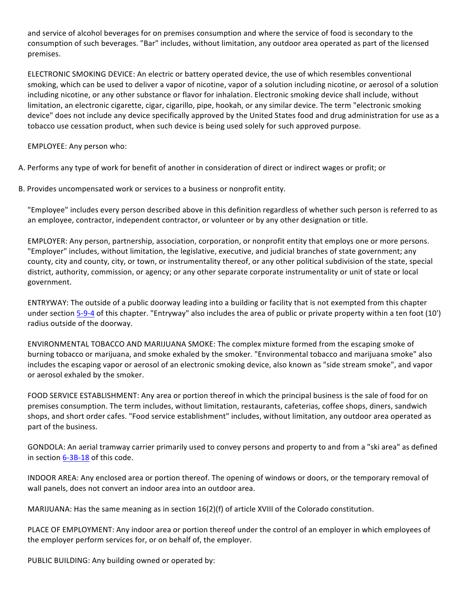and service of alcohol beverages for on premises consumption and where the service of food is secondary to the consumption of such beverages. "Bar" includes, without limitation, any outdoor area operated as part of the licensed premises.

ELECTRONIC SMOKING DEVICE: An electric or battery operated device, the use of which resembles conventional smoking, which can be used to deliver a vapor of nicotine, vapor of a solution including nicotine, or aerosol of a solution including nicotine, or any other substance or flavor for inhalation. Electronic smoking device shall include, without limitation, an electronic cigarette, cigar, cigarillo, pipe, hookah, or any similar device. The term "electronic smoking device" does not include any device specifically approved by the United States food and drug administration for use as a tobacco use cessation product, when such device is being used solely for such approved purpose.

EMPLOYEE: Any person who:

A. Performs any type of work for benefit of another in consideration of direct or indirect wages or profit; or

B. Provides uncompensated work or services to a business or nonprofit entity.

"Employee" includes every person described above in this definition regardless of whether such person is referred to as an employee, contractor, independent contractor, or volunteer or by any other designation or title.

EMPLOYER: Any person, partnership, association, corporation, or nonprofit entity that employs one or more persons. "Employer" includes, without limitation, the legislative, executive, and judicial branches of state government; any county, city and county, city, or town, or instrumentality thereof, or any other political subdivision of the state, special district, authority, commission, or agency; or any other separate corporate instrumentality or unit of state or local government.

ENTRYWAY: The outside of a public doorway leading into a building or facility that is not exempted from this chapter under section 5-9-4 of this chapter. "Entryway" also includes the area of public or private property within a ten foot (10') radius outside of the doorway.

ENVIRONMENTAL TOBACCO AND MARIJUANA SMOKE: The complex mixture formed from the escaping smoke of burning tobacco or marijuana, and smoke exhaled by the smoker. "Environmental tobacco and marijuana smoke" also includes the escaping vapor or aerosol of an electronic smoking device, also known as "side stream smoke", and vapor or aerosol exhaled by the smoker.

FOOD SERVICE ESTABLISHMENT: Any area or portion thereof in which the principal business is the sale of food for on premises consumption. The term includes, without limitation, restaurants, cafeterias, coffee shops, diners, sandwich shops, and short order cafes. "Food service establishment" includes, without limitation, any outdoor area operated as part of the business.

GONDOLA: An aerial tramway carrier primarily used to convey persons and property to and from a "ski area" as defined in section  $6-3B-18$  of this code.

INDOOR AREA: Any enclosed area or portion thereof. The opening of windows or doors, or the temporary removal of wall panels, does not convert an indoor area into an outdoor area.

MARIJUANA: Has the same meaning as in section  $16(2)(f)$  of article XVIII of the Colorado constitution.

PLACE OF EMPLOYMENT: Any indoor area or portion thereof under the control of an employer in which employees of the employer perform services for, or on behalf of, the employer.

PUBLIC BUILDING: Any building owned or operated by: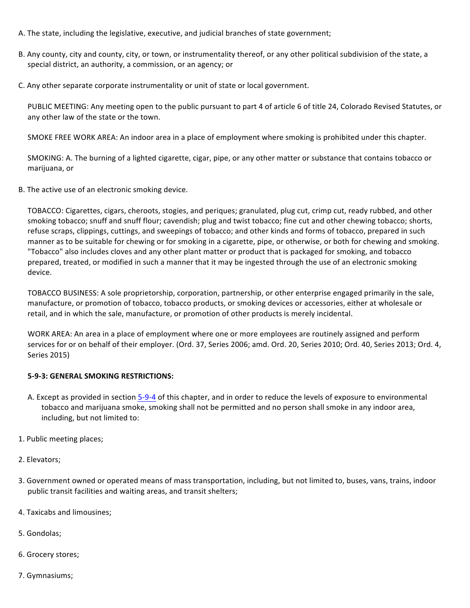- A. The state, including the legislative, executive, and judicial branches of state government;
- B. Any county, city and county, city, or town, or instrumentality thereof, or any other political subdivision of the state, a special district, an authority, a commission, or an agency; or
- C. Any other separate corporate instrumentality or unit of state or local government.

PUBLIC MEETING: Any meeting open to the public pursuant to part 4 of article 6 of title 24, Colorado Revised Statutes, or any other law of the state or the town.

SMOKE FREE WORK AREA: An indoor area in a place of employment where smoking is prohibited under this chapter.

SMOKING: A. The burning of a lighted cigarette, cigar, pipe, or any other matter or substance that contains tobacco or marijuana, or

B. The active use of an electronic smoking device.

TOBACCO: Cigarettes, cigars, cheroots, stogies, and periques; granulated, plug cut, crimp cut, ready rubbed, and other smoking tobacco; snuff and snuff flour; cavendish; plug and twist tobacco; fine cut and other chewing tobacco; shorts, refuse scraps, clippings, cuttings, and sweepings of tobacco; and other kinds and forms of tobacco, prepared in such manner as to be suitable for chewing or for smoking in a cigarette, pipe, or otherwise, or both for chewing and smoking. "Tobacco" also includes cloves and any other plant matter or product that is packaged for smoking, and tobacco prepared, treated, or modified in such a manner that it may be ingested through the use of an electronic smoking device.

TOBACCO BUSINESS: A sole proprietorship, corporation, partnership, or other enterprise engaged primarily in the sale, manufacture, or promotion of tobacco, tobacco products, or smoking devices or accessories, either at wholesale or retail, and in which the sale, manufacture, or promotion of other products is merely incidental.

WORK AREA: An area in a place of employment where one or more employees are routinely assigned and perform services for or on behalf of their employer. (Ord. 37, Series 2006; amd. Ord. 20, Series 2010; Ord. 40, Series 2013; Ord. 4, Series 2015)

### **5-9-3: GENERAL SMOKING RESTRICTIONS:**

- A. Except as provided in section 5-9-4 of this chapter, and in order to reduce the levels of exposure to environmental tobacco and marijuana smoke, smoking shall not be permitted and no person shall smoke in any indoor area, including, but not limited to:
- 1. Public meeting places;
- 2. Elevators;
- 3. Government owned or operated means of mass transportation, including, but not limited to, buses, vans, trains, indoor public transit facilities and waiting areas, and transit shelters;
- 4. Taxicabs and limousines;
- 5. Gondolas;
- 6. Grocery stores;
- 7. Gymnasiums;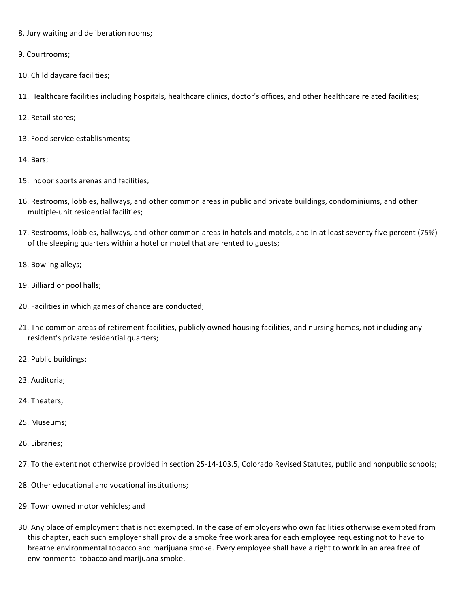- 8. Jury waiting and deliberation rooms;
- 9. Courtrooms;
- 10. Child daycare facilities;
- 11. Healthcare facilities including hospitals, healthcare clinics, doctor's offices, and other healthcare related facilities;
- 12. Retail stores;
- 13. Food service establishments;
- 14. Bars;
- 15. Indoor sports arenas and facilities;
- 16. Restrooms, lobbies, hallways, and other common areas in public and private buildings, condominiums, and other multiple-unit residential facilities;
- 17. Restrooms, lobbies, hallways, and other common areas in hotels and motels, and in at least seventy five percent (75%) of the sleeping quarters within a hotel or motel that are rented to guests;
- 18. Bowling alleys;
- 19. Billiard or pool halls;
- 20. Facilities in which games of chance are conducted;
- 21. The common areas of retirement facilities, publicly owned housing facilities, and nursing homes, not including any resident's private residential quarters;
- 22. Public buildings;
- 23. Auditoria;
- 24. Theaters;
- 25. Museums;
- 26. Libraries;
- 27. To the extent not otherwise provided in section 25-14-103.5, Colorado Revised Statutes, public and nonpublic schools;
- 28. Other educational and vocational institutions;
- 29. Town owned motor vehicles; and
- 30. Any place of employment that is not exempted. In the case of employers who own facilities otherwise exempted from this chapter, each such employer shall provide a smoke free work area for each employee requesting not to have to breathe environmental tobacco and marijuana smoke. Every employee shall have a right to work in an area free of environmental tobacco and marijuana smoke.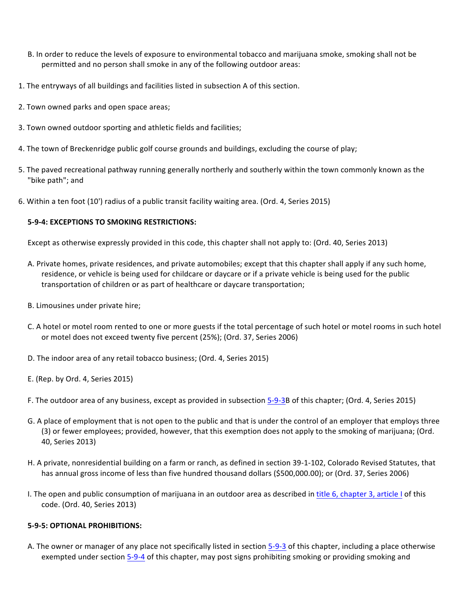- B. In order to reduce the levels of exposure to environmental tobacco and marijuana smoke, smoking shall not be permitted and no person shall smoke in any of the following outdoor areas:
- 1. The entryways of all buildings and facilities listed in subsection A of this section.
- 2. Town owned parks and open space areas;
- 3. Town owned outdoor sporting and athletic fields and facilities;
- 4. The town of Breckenridge public golf course grounds and buildings, excluding the course of play;
- 5. The paved recreational pathway running generally northerly and southerly within the town commonly known as the "bike path"; and
- 6. Within a ten foot (10') radius of a public transit facility waiting area. (Ord. 4, Series 2015)

## **5-9-4: EXCEPTIONS TO SMOKING RESTRICTIONS:**

Except as otherwise expressly provided in this code, this chapter shall not apply to: (Ord. 40, Series 2013)

- A. Private homes, private residences, and private automobiles; except that this chapter shall apply if any such home, residence, or vehicle is being used for childcare or daycare or if a private vehicle is being used for the public transportation of children or as part of healthcare or daycare transportation;
- B. Limousines under private hire;
- C. A hotel or motel room rented to one or more guests if the total percentage of such hotel or motel rooms in such hotel or motel does not exceed twenty five percent (25%); (Ord. 37, Series 2006)
- D. The indoor area of any retail tobacco business; (Ord. 4, Series 2015)
- E. (Rep. by Ord. 4, Series 2015)
- F. The outdoor area of any business, except as provided in subsection 5-9-3B of this chapter; (Ord. 4, Series 2015)
- G. A place of employment that is not open to the public and that is under the control of an employer that employs three (3) or fewer employees; provided, however, that this exemption does not apply to the smoking of marijuana; (Ord. 40, Series 2013)
- H. A private, nonresidential building on a farm or ranch, as defined in section 39-1-102, Colorado Revised Statutes, that has annual gross income of less than five hundred thousand dollars (\$500,000.00); or (Ord. 37, Series 2006)
- I. The open and public consumption of marijuana in an outdoor area as described in title 6, chapter 3, article I of this code. (Ord. 40, Series 2013)

# **5-9-5: OPTIONAL PROHIBITIONS:**

A. The owner or manager of any place not specifically listed in section 5-9-3 of this chapter, including a place otherwise exempted under section 5-9-4 of this chapter, may post signs prohibiting smoking or providing smoking and